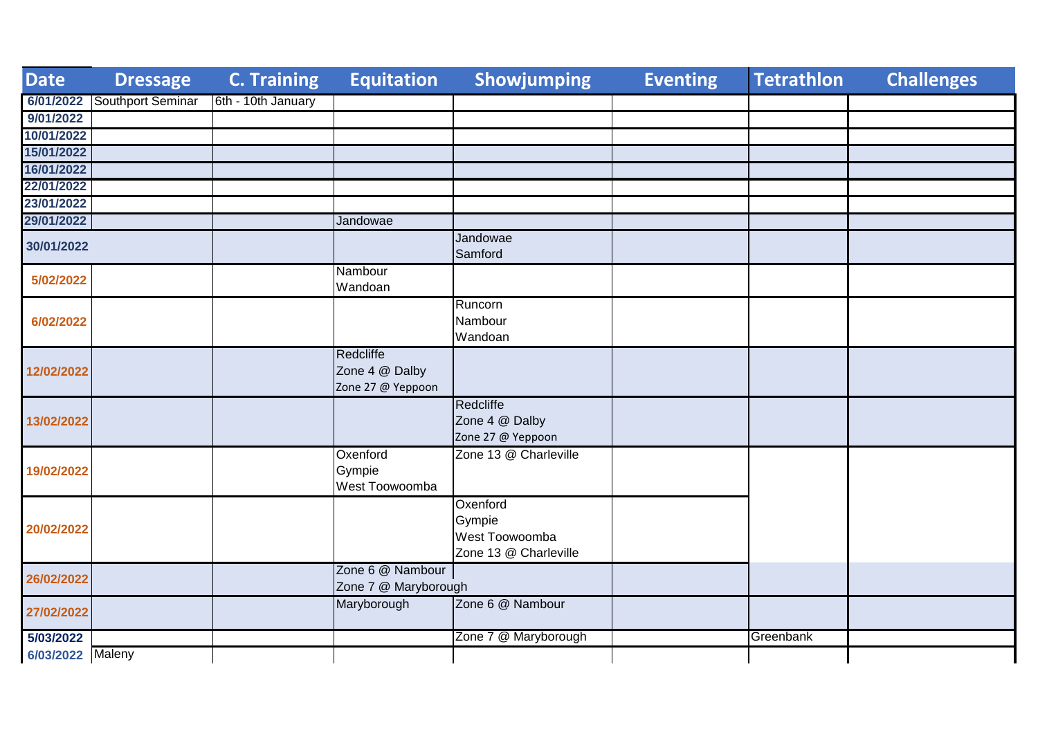| <b>Date</b>      | <b>Dressage</b>   | <b>C. Training</b> | <b>Equitation</b>                                | Showjumping                                                   | <b>Eventing</b> | <b>Tetrathlon</b> | <b>Challenges</b> |
|------------------|-------------------|--------------------|--------------------------------------------------|---------------------------------------------------------------|-----------------|-------------------|-------------------|
| 6/01/2022        | Southport Seminar | 6th - 10th January |                                                  |                                                               |                 |                   |                   |
| 9/01/2022        |                   |                    |                                                  |                                                               |                 |                   |                   |
| 10/01/2022       |                   |                    |                                                  |                                                               |                 |                   |                   |
| 15/01/2022       |                   |                    |                                                  |                                                               |                 |                   |                   |
| 16/01/2022       |                   |                    |                                                  |                                                               |                 |                   |                   |
| 22/01/2022       |                   |                    |                                                  |                                                               |                 |                   |                   |
| 23/01/2022       |                   |                    |                                                  |                                                               |                 |                   |                   |
| 29/01/2022       |                   |                    | Jandowae                                         |                                                               |                 |                   |                   |
| 30/01/2022       |                   |                    |                                                  | Jandowae<br>Samford                                           |                 |                   |                   |
| 5/02/2022        |                   |                    | Nambour<br>Wandoan                               |                                                               |                 |                   |                   |
| 6/02/2022        |                   |                    |                                                  | Runcorn<br>Nambour<br>Wandoan                                 |                 |                   |                   |
| 12/02/2022       |                   |                    | Redcliffe<br>Zone 4 @ Dalby<br>Zone 27 @ Yeppoon |                                                               |                 |                   |                   |
| 13/02/2022       |                   |                    |                                                  | Redcliffe<br>Zone 4 @ Dalby<br>Zone 27 @ Yeppoon              |                 |                   |                   |
| 19/02/2022       |                   |                    | Oxenford<br>Gympie<br>West Toowoomba             | Zone 13 @ Charleville                                         |                 |                   |                   |
| 20/02/2022       |                   |                    |                                                  | Oxenford<br>Gympie<br>West Toowoomba<br>Zone 13 @ Charleville |                 |                   |                   |
| 26/02/2022       |                   |                    | Zone 6 @ Nambour<br>Zone 7 @ Maryborough         |                                                               |                 |                   |                   |
| 27/02/2022       |                   |                    | Maryborough                                      | Zone 6 @ Nambour                                              |                 |                   |                   |
| 5/03/2022        |                   |                    |                                                  | Zone 7 @ Maryborough                                          |                 | Greenbank         |                   |
| 6/03/2022 Maleny |                   |                    |                                                  |                                                               |                 |                   |                   |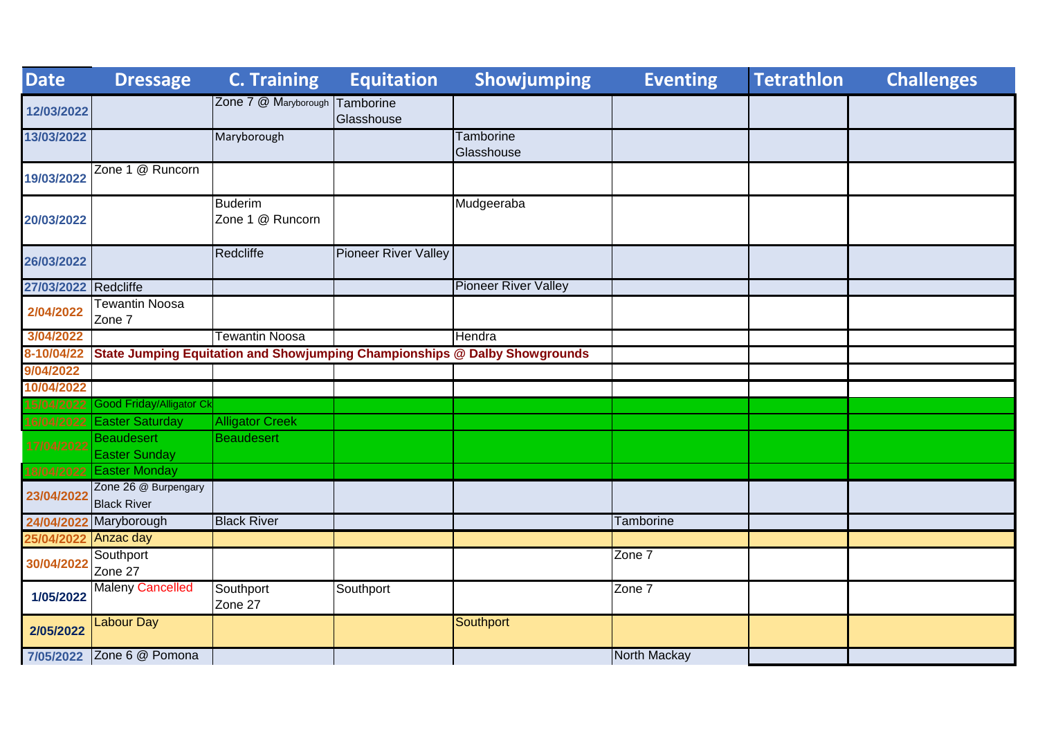| <b>Date</b> | <b>Dressage</b>                            | <b>C. Training</b>                 | <b>Equitation</b>           | Showjumping                                                                | <b>Eventing</b>  | <b>Tetrathlon</b> | <b>Challenges</b> |
|-------------|--------------------------------------------|------------------------------------|-----------------------------|----------------------------------------------------------------------------|------------------|-------------------|-------------------|
| 12/03/2022  |                                            | Zone 7 @ Maryborough               | Tamborine<br>Glasshouse     |                                                                            |                  |                   |                   |
| 13/03/2022  |                                            | Maryborough                        |                             | <b>Tamborine</b><br>Glasshouse                                             |                  |                   |                   |
| 19/03/2022  | Zone 1 @ Runcorn                           |                                    |                             |                                                                            |                  |                   |                   |
| 20/03/2022  |                                            | <b>Buderim</b><br>Zone 1 @ Runcorn |                             | Mudgeeraba                                                                 |                  |                   |                   |
| 26/03/2022  |                                            | Redcliffe                          | <b>Pioneer River Valley</b> |                                                                            |                  |                   |                   |
| 27/03/2022  | Redcliffe                                  |                                    |                             | <b>Pioneer River Valley</b>                                                |                  |                   |                   |
| 2/04/2022   | <b>Tewantin Noosa</b><br>Zone 7            |                                    |                             |                                                                            |                  |                   |                   |
| 3/04/2022   |                                            | <b>Tewantin Noosa</b>              |                             | Hendra                                                                     |                  |                   |                   |
| 8-10/04/22  |                                            |                                    |                             | State Jumping Equitation and Showjumping Championships @ Dalby Showgrounds |                  |                   |                   |
| 9/04/2022   |                                            |                                    |                             |                                                                            |                  |                   |                   |
| 10/04/2022  |                                            |                                    |                             |                                                                            |                  |                   |                   |
| 15/04/2022  | <b>Good Friday/Alligator Ck</b>            |                                    |                             |                                                                            |                  |                   |                   |
| 16/04/2022  | <b>Easter Saturday</b>                     | <b>Alligator Creek</b>             |                             |                                                                            |                  |                   |                   |
| 17/04/2022  | <b>Beaudesert</b><br><b>Easter Sunday</b>  | <b>Beaudesert</b>                  |                             |                                                                            |                  |                   |                   |
| 18/04/2022  | <b>Easter Monday</b>                       |                                    |                             |                                                                            |                  |                   |                   |
| 23/04/2022  | Zone 26 @ Burpengary<br><b>Black River</b> |                                    |                             |                                                                            |                  |                   |                   |
| 24/04/202   | Maryborough                                | <b>Black River</b>                 |                             |                                                                            | <b>Tamborine</b> |                   |                   |
| 25/04/202   | Anzac day                                  |                                    |                             |                                                                            |                  |                   |                   |
| 30/04/2022  | Southport<br>Zone 27                       |                                    |                             |                                                                            | Zone 7           |                   |                   |
| 1/05/2022   | <b>Maleny Cancelled</b>                    | Southport<br>Zone 27               | Southport                   |                                                                            | Zone 7           |                   |                   |
| 2/05/2022   | <b>Labour Day</b>                          |                                    |                             | Southport                                                                  |                  |                   |                   |
|             | 7/05/2022 Zone 6 @ Pomona                  |                                    |                             |                                                                            | North Mackay     |                   |                   |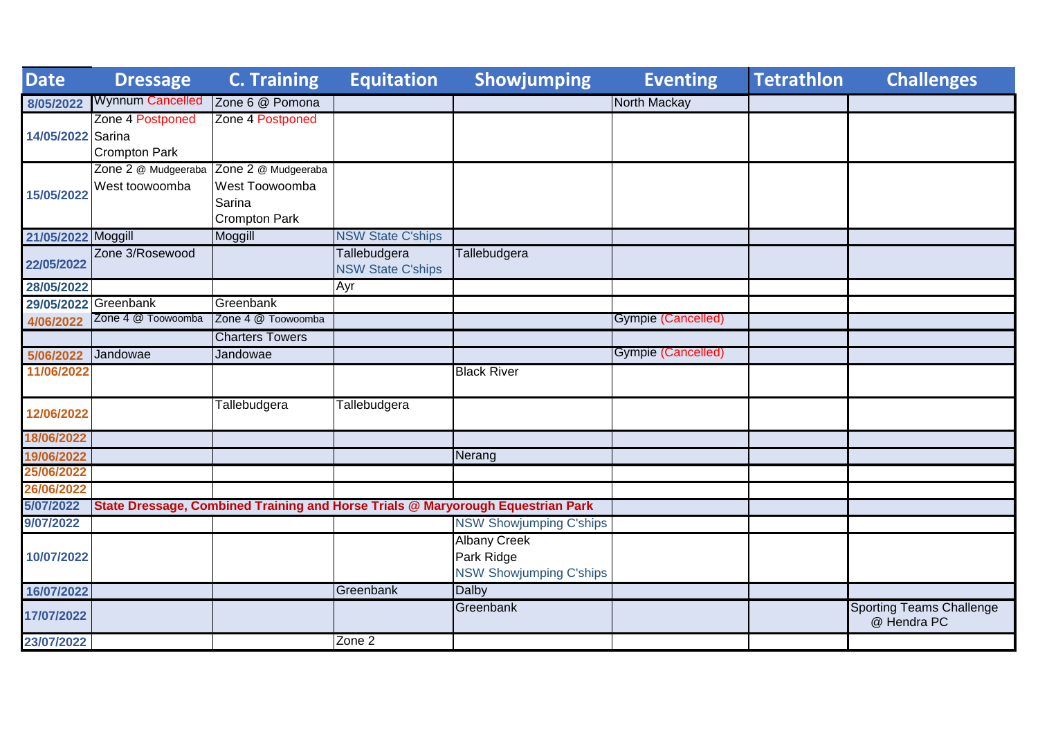| Date                 | <b>Dressage</b>         | <b>C. Training</b>     | <b>Equitation</b>        | Showjumping                                                                     | <b>Eventing</b>    | <b>Tetrathlon</b> | <b>Challenges</b>                              |
|----------------------|-------------------------|------------------------|--------------------------|---------------------------------------------------------------------------------|--------------------|-------------------|------------------------------------------------|
| 8/05/2022            | <b>Wynnum Cancelled</b> | Zone 6 @ Pomona        |                          |                                                                                 | North Mackay       |                   |                                                |
|                      | Zone 4 Postponed        | Zone 4 Postponed       |                          |                                                                                 |                    |                   |                                                |
| 14/05/2022 Sarina    |                         |                        |                          |                                                                                 |                    |                   |                                                |
|                      | <b>Crompton Park</b>    |                        |                          |                                                                                 |                    |                   |                                                |
|                      | Zone 2 @ Mudgeeraba     | Zone 2 @ Mudgeeraba    |                          |                                                                                 |                    |                   |                                                |
| 15/05/2022           | West toowoomba          | West Toowoomba         |                          |                                                                                 |                    |                   |                                                |
|                      |                         | Sarina                 |                          |                                                                                 |                    |                   |                                                |
|                      |                         | <b>Crompton Park</b>   |                          |                                                                                 |                    |                   |                                                |
| 21/05/2022 Moggill   |                         | Moggill                | <b>NSW State C'ships</b> |                                                                                 |                    |                   |                                                |
| 22/05/2022           | Zone 3/Rosewood         |                        | Tallebudgera             | Tallebudgera                                                                    |                    |                   |                                                |
|                      |                         |                        | <b>NSW State C'ships</b> |                                                                                 |                    |                   |                                                |
| 28/05/2022           |                         |                        | Ayr                      |                                                                                 |                    |                   |                                                |
| 29/05/2022 Greenbank |                         | Greenbank              |                          |                                                                                 |                    |                   |                                                |
| 4/06/2022            | Zone 4 @ Toowoomba      | Zone 4 @ Toowoomba     |                          |                                                                                 | Gympie (Cancelled) |                   |                                                |
|                      |                         | <b>Charters Towers</b> |                          |                                                                                 |                    |                   |                                                |
| 5/06/2022            | Jandowae                | Jandowae               |                          |                                                                                 | Gympie (Cancelled) |                   |                                                |
| 11/06/2022           |                         |                        |                          | <b>Black River</b>                                                              |                    |                   |                                                |
|                      |                         |                        |                          |                                                                                 |                    |                   |                                                |
| 12/06/2022           |                         | Tallebudgera           | Tallebudgera             |                                                                                 |                    |                   |                                                |
| 18/06/2022           |                         |                        |                          |                                                                                 |                    |                   |                                                |
| 19/06/2022           |                         |                        |                          | Nerang                                                                          |                    |                   |                                                |
| 25/06/2022           |                         |                        |                          |                                                                                 |                    |                   |                                                |
| 26/06/2022           |                         |                        |                          |                                                                                 |                    |                   |                                                |
| 5/07/2022            |                         |                        |                          | State Dressage, Combined Training and Horse Trials @ Maryorough Equestrian Park |                    |                   |                                                |
| 9/07/2022            |                         |                        |                          | <b>NSW Showjumping C'ships</b>                                                  |                    |                   |                                                |
|                      |                         |                        |                          | <b>Albany Creek</b>                                                             |                    |                   |                                                |
| 10/07/2022           |                         |                        |                          | Park Ridge                                                                      |                    |                   |                                                |
|                      |                         |                        |                          | <b>NSW Showjumping C'ships</b>                                                  |                    |                   |                                                |
| 16/07/2022           |                         |                        | Greenbank                | <b>Dalby</b>                                                                    |                    |                   |                                                |
| 17/07/2022           |                         |                        |                          | Greenbank                                                                       |                    |                   | <b>Sporting Teams Challenge</b><br>@ Hendra PC |
| 23/07/2022           |                         |                        | Zone 2                   |                                                                                 |                    |                   |                                                |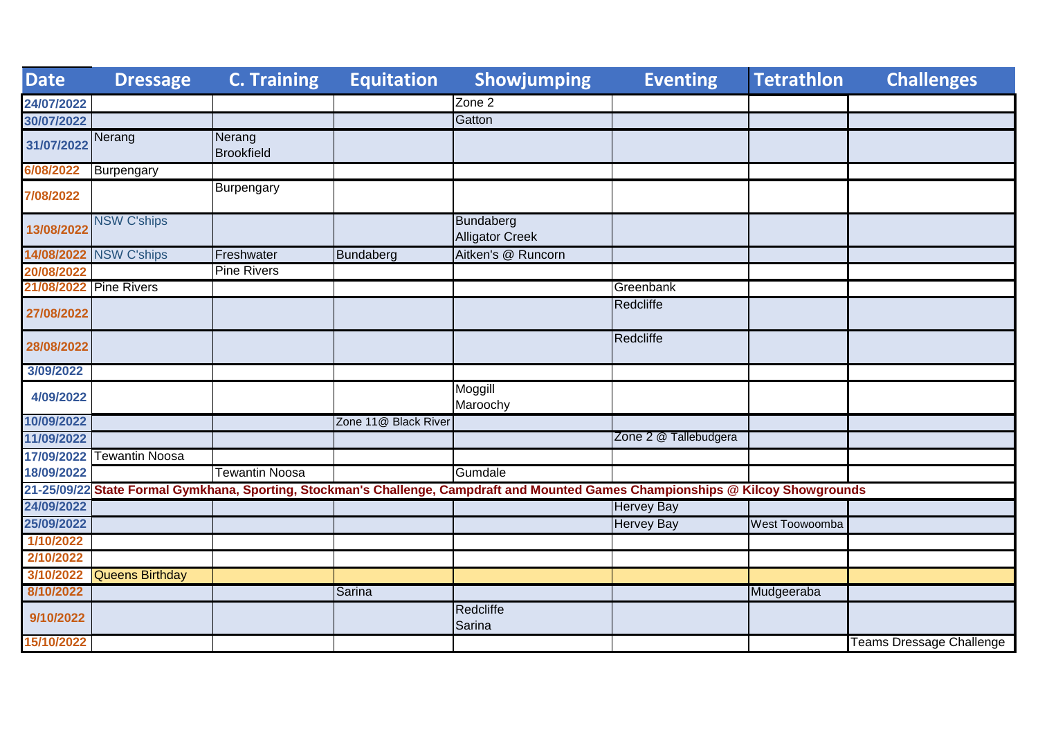| <b>Date</b>            | <b>Dressage</b>        | <b>C. Training</b>          | <b>Equitation</b>    | Showjumping                                                                                                                       | <b>Eventing</b>       | <b>Tetrathlon</b> | <b>Challenges</b>               |
|------------------------|------------------------|-----------------------------|----------------------|-----------------------------------------------------------------------------------------------------------------------------------|-----------------------|-------------------|---------------------------------|
| 24/07/2022             |                        |                             |                      | Zone 2                                                                                                                            |                       |                   |                                 |
| 30/07/2022             |                        |                             |                      | Gatton                                                                                                                            |                       |                   |                                 |
| 31/07/2022             | Nerang                 | Nerang<br><b>Brookfield</b> |                      |                                                                                                                                   |                       |                   |                                 |
| 6/08/2022              | Burpengary             |                             |                      |                                                                                                                                   |                       |                   |                                 |
| 7/08/2022              |                        | <b>Burpengary</b>           |                      |                                                                                                                                   |                       |                   |                                 |
| 13/08/2022             | <b>NSW C'ships</b>     |                             |                      | Bundaberg<br><b>Alligator Creek</b>                                                                                               |                       |                   |                                 |
|                        | 14/08/2022 NSW C'ships | Freshwater                  | Bundaberg            | Aitken's @ Runcorn                                                                                                                |                       |                   |                                 |
| 20/08/2022             |                        | <b>Pine Rivers</b>          |                      |                                                                                                                                   |                       |                   |                                 |
| 21/08/2022 Pine Rivers |                        |                             |                      |                                                                                                                                   | Greenbank             |                   |                                 |
| 27/08/2022             |                        |                             |                      |                                                                                                                                   | Redcliffe             |                   |                                 |
| 28/08/2022             |                        |                             |                      |                                                                                                                                   | Redcliffe             |                   |                                 |
| 3/09/2022              |                        |                             |                      |                                                                                                                                   |                       |                   |                                 |
| 4/09/2022              |                        |                             |                      | Moggill<br>Maroochy                                                                                                               |                       |                   |                                 |
| 10/09/2022             |                        |                             | Zone 11@ Black River |                                                                                                                                   |                       |                   |                                 |
| 11/09/2022             |                        |                             |                      |                                                                                                                                   | Zone 2 @ Tallebudgera |                   |                                 |
| 17/09/2022             | <b>Tewantin Noosa</b>  |                             |                      |                                                                                                                                   |                       |                   |                                 |
| 18/09/2022             |                        | Tewantin Noosa              |                      | Gumdale                                                                                                                           |                       |                   |                                 |
|                        |                        |                             |                      | 21-25/09/22 State Formal Gymkhana, Sporting, Stockman's Challenge, Campdraft and Mounted Games Championships @ Kilcoy Showgrounds |                       |                   |                                 |
| 24/09/2022             |                        |                             |                      |                                                                                                                                   | <b>Hervey Bay</b>     |                   |                                 |
| 25/09/2022             |                        |                             |                      |                                                                                                                                   | <b>Hervey Bay</b>     | West Toowoomba    |                                 |
| 1/10/2022              |                        |                             |                      |                                                                                                                                   |                       |                   |                                 |
| 2/10/2022              |                        |                             |                      |                                                                                                                                   |                       |                   |                                 |
| 3/10/2022              | <b>Queens Birthday</b> |                             |                      |                                                                                                                                   |                       |                   |                                 |
| 8/10/2022              |                        |                             | Sarina               |                                                                                                                                   |                       | Mudgeeraba        |                                 |
| 9/10/2022              |                        |                             |                      | Redcliffe<br>Sarina                                                                                                               |                       |                   |                                 |
| 15/10/2022             |                        |                             |                      |                                                                                                                                   |                       |                   | <b>Teams Dressage Challenge</b> |